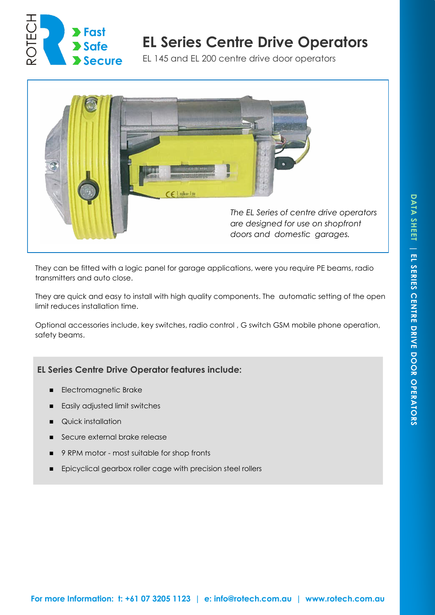

# **EL Series Centre Drive Operators**

EL 145 and EL 200 centre drive door operators



They can be fitted with a logic panel for garage applications, were you require PE beams, radio transmitters and auto close.

They are quick and easy to install with high quality components. The automatic setting of the open limit reduces installation time.

Optional accessories include, key switches, radio control , G switch GSM mobile phone operation, safety beams.

## **EL Series Centre Drive Operator features include:**

- Electromagnetic Brake
- Easily adjusted limit switches
- Quick installation
- Secure external brake release
- 9 RPM motor most suitable for shop fronts
- Epicyclical gearbox roller cage with precision steel rollers